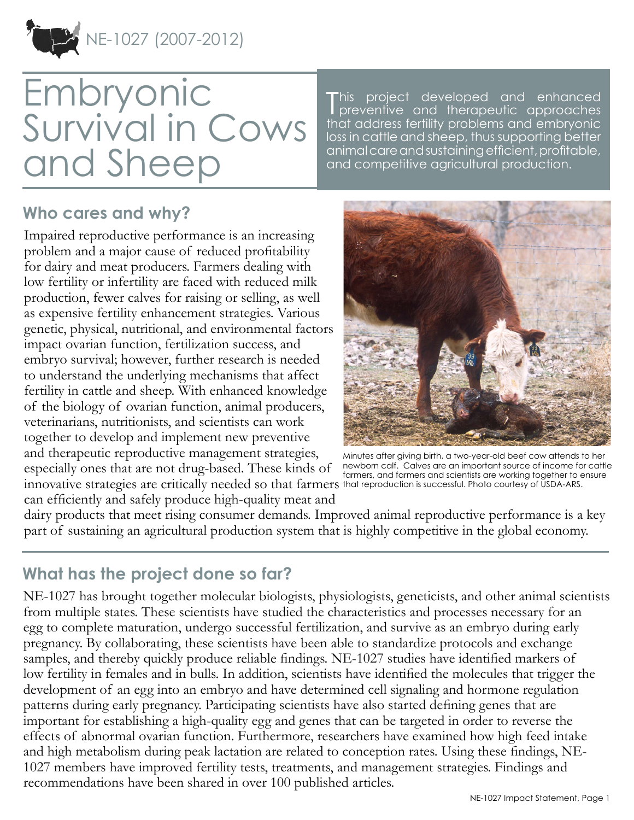NE-1027 (2007-2012)

# **Embryonic** Survival in Cows and Sheep

T project developed and enhanced preventive and therapeutic approaches that address fertility problems and embryonic loss in cattle and sheep, thus supporting better animal care and sustaining efficient, profitable, and competitive agricultural production.

#### **Who cares and why?**

Impaired reproductive performance is an increasing problem and a major cause of reduced profitability for dairy and meat producers. Farmers dealing with low fertility or infertility are faced with reduced milk production, fewer calves for raising or selling, as well as expensive fertility enhancement strategies. Various genetic, physical, nutritional, and environmental factors impact ovarian function, fertilization success, and embryo survival; however, further research is needed to understand the underlying mechanisms that affect fertility in cattle and sheep. With enhanced knowledge of the biology of ovarian function, animal producers, veterinarians, nutritionists, and scientists can work together to develop and implement new preventive and therapeutic reproductive management strategies, especially ones that are not drug-based. These kinds of innovative strategies are critically needed so that farmers that reproduction is successful. Photo courtesy of USDA-ARS. can efficiently and safely produce high-quality meat and



Minutes after giving birth, a two-year-old beef cow attends to her newborn calf. Calves are an important source of income for cattle farmers, and farmers and scientists are working together to ensure

dairy products that meet rising consumer demands. Improved animal reproductive performance is a key part of sustaining an agricultural production system that is highly competitive in the global economy.

## **What has the project done so far?**

NE-1027 has brought together molecular biologists, physiologists, geneticists, and other animal scientists from multiple states. These scientists have studied the characteristics and processes necessary for an egg to complete maturation, undergo successful fertilization, and survive as an embryo during early pregnancy. By collaborating, these scientists have been able to standardize protocols and exchange samples, and thereby quickly produce reliable findings. NE-1027 studies have identified markers of low fertility in females and in bulls. In addition, scientists have identified the molecules that trigger the development of an egg into an embryo and have determined cell signaling and hormone regulation patterns during early pregnancy. Participating scientists have also started defining genes that are important for establishing a high-quality egg and genes that can be targeted in order to reverse the effects of abnormal ovarian function. Furthermore, researchers have examined how high feed intake and high metabolism during peak lactation are related to conception rates. Using these findings, NE-1027 members have improved fertility tests, treatments, and management strategies. Findings and recommendations have been shared in over 100 published articles.